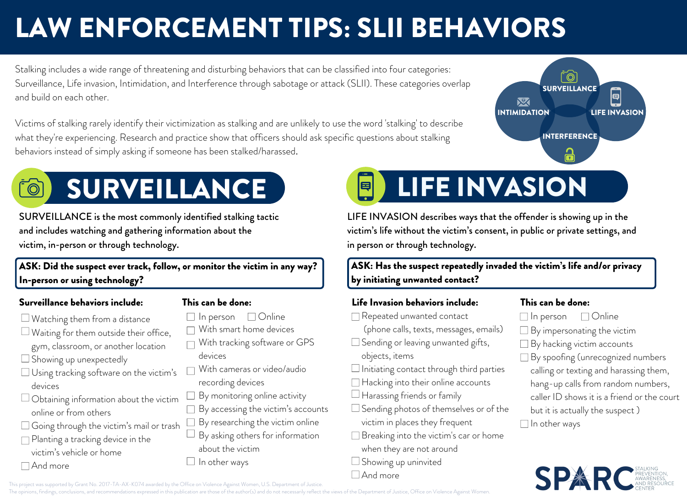## LAW ENFORCEMENT TIPS: SLII BEHAVIORS

Stalking includes a wide range of threatening and disturbing behaviors that can be classified into four categories: Surveillance, Life invasion, Intimidation, and Interference through sabotage or attack (SLII). These categories overlap and build on each other.

Victims of stalking rarely identify their victimization as stalking and are unlikely to use the word 'stalking' to describe what they're experiencing. Research and practice show that officers should ask specific questions about stalking behaviors instead of simply asking if someone has been stalked/harassed.



SURVEILLANCE is the most commonly identified stalking tactic and includes watching and gathering information about the victim, in-person or through technology.

#### ASK: Did the suspect ever track, follow, or monitor the victim in any way? In-person or using technology?

#### Surveillance behaviors include:

- $\Box$  Watching them from a distance
- $\Box$  Waiting for them outside their office,
- gym, classroom, or another location
- $\square$  Showing up unexpectedly
- Using tracking software on the victim's devices
- $\Box$  Obtaining information about the victim online or from others
- Going through the victim's mail or trash
- $\Box$  Planting a tracking device in the victim's vehicle or home
- And more

#### This can be done:

- $\Box$  In person  $\Box$  Online
- With smart home devices
- $\Box$  With tracking software or GPS devices
- With cameras or video/audio
	- recording devices
- $\Box$  By monitoring online activity
- $\Box$  By accessing the victim's accounts
- $\Box$  By researching the victim online
- $\Box$  By asking others for information about the victim
- $\Box$  In other ways

### LIFE INVASION 目

LIFE INVASION describes ways that the offender is showing up in the victim's life without the victim's consent, in public or private settings, and in person or through technology.

ASK: Has the suspect repeatedly invaded the victim's life and/or privacy by initiating unwanted contact?

#### Life Invasion behaviors include:

- Repeated unwanted contact
	- (phone calls, texts, messages, emails)
- Sending or leaving unwanted gifts, objects, items
- $\Box$  Initiating contact through third parties
- □ Hacking into their online accounts
- $\Box$  Harassing friends or family
- Sending photos of themselves or of the victim in places they frequent
- □ Breaking into the victim's car or home when they are not around
- $\Box$  Showing up uninvited

#### This can be done:

 $\Box$  In person  $\Box$  Online

**SURVEILLANCE** 

ිටි

INTIMIDATION

 $\mathbf{X}$ 

INTERFERENCE

LIFE INVASION

 $\begin{bmatrix} \Box \ \Box \end{bmatrix}$ 

- $\Box$  By impersonating the victim
- $\Box$  By hacking victim accounts
- By spoofing (unrecognized numbers calling or texting and harassing them, hang-up calls from random numbers, caller ID shows it is a friend or the court but it is actually the suspect )  $\Box$  In other ways



This project was supported by Grant No. 2017-TA-AX-K074 awarded by the Office on Violence Against Women, U.S. Department of Justice.

The opinions, findings, conclusions, and recommendations expressed in this publication are those of the author(s) and do not necessarily reflect the views of the Department of Justice, Office on Violence Against Women.

- - -
-